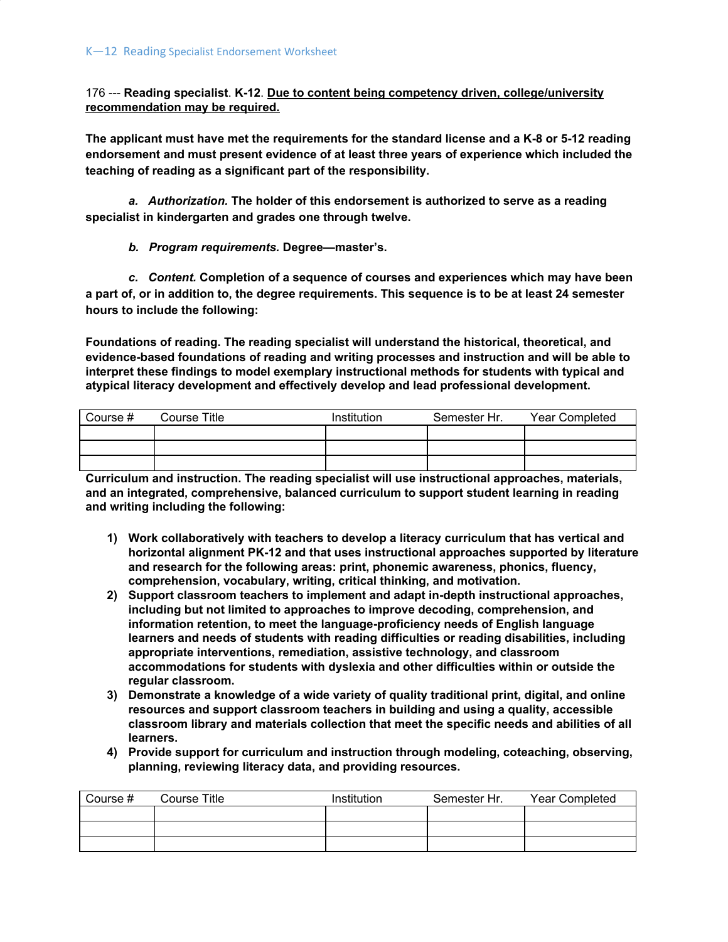176 --- **Reading specialist**. **K-12**. **Due to content being competency driven, college/university recommendation may be required.**

**The applicant must have met the requirements for the standard license and a K-8 or 5-12 reading endorsement and must present evidence of at least three years of experience which included the teaching of reading as a significant part of the responsibility.**

*a. Authorization.* **The holder of this endorsement is authorized to serve as a reading specialist in kindergarten and grades one through twelve.**

*b. Program requirements.* **Degree—master's.**

*c. Content.* **Completion of a sequence of courses and experiences which may have been** a part of, or in addition to, the degree requirements. This sequence is to be at least 24 semester **hours to include the following:**

**Foundations of reading. The reading specialist will understand the historical, theoretical, and evidence-based foundations of reading and writing processes and instruction and will be able to interpret these findings to model exemplary instructional methods for students with typical and atypical literacy development and effectively develop and lead professional development.**

| Course # | <b>Course Title</b> | Institution | Semester Hr. | <b>Year Completed</b> |
|----------|---------------------|-------------|--------------|-----------------------|
|          |                     |             |              |                       |
|          |                     |             |              |                       |
|          |                     |             |              |                       |

**Curriculum and instruction. The reading specialist will use instructional approaches, materials, and an integrated, comprehensive, balanced curriculum to support student learning in reading and writing including the following:**

- **1) Work collaboratively with teachers to develop a literacy curriculum that has vertical and horizontal alignment PK-12 and that uses instructional approaches supported by literature and research for the following areas: print, phonemic awareness, phonics, fluency, comprehension, vocabulary, writing, critical thinking, and motivation.**
- **2) Support classroom teachers to implement and adapt in-depth instructional approaches, including but not limited to approaches to improve decoding, comprehension, and information retention, to meet the language-proficiency needs of English language learners and needs of students with reading difficulties or reading disabilities, including appropriate interventions, remediation, assistive technology, and classroom accommodations for students with dyslexia and other difficulties within or outside the regular classroom.**
- **3) Demonstrate a knowledge of a wide variety of quality traditional print, digital, and online resources and support classroom teachers in building and using a quality, accessible classroom library and materials collection that meet the specific needs and abilities of all learners.**
- **4) Provide support for curriculum and instruction through modeling, coteaching, observing, planning, reviewing literacy data, and providing resources.**

| Course # | Course Title | Institution | Semester Hr. | <b>Year Completed</b> |
|----------|--------------|-------------|--------------|-----------------------|
|          |              |             |              |                       |
|          |              |             |              |                       |
|          |              |             |              |                       |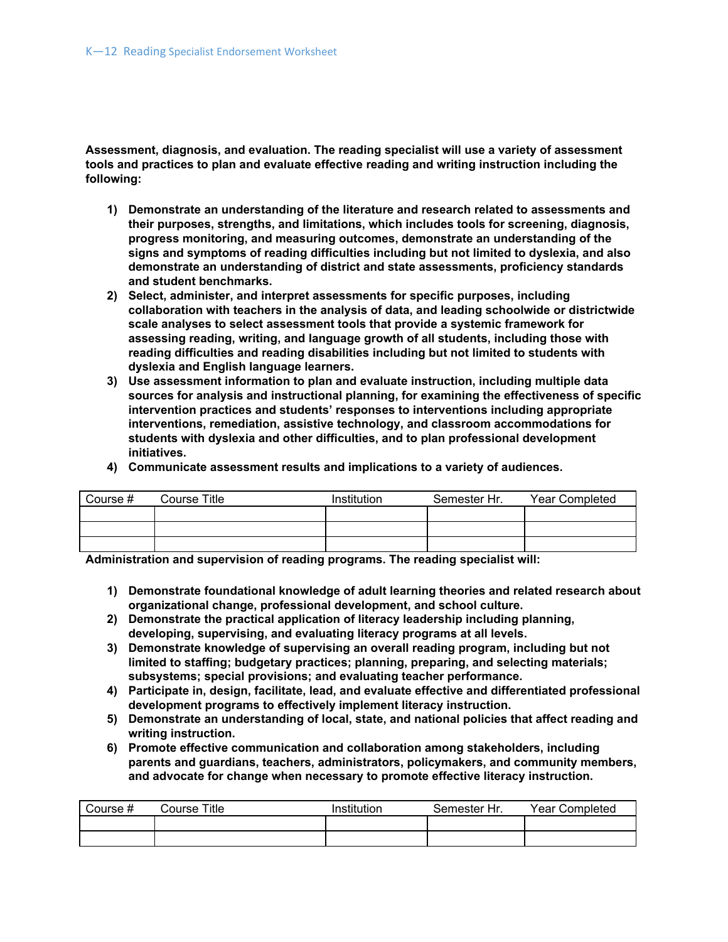**Assessment, diagnosis, and evaluation. The reading specialist will use a variety of assessment tools and practices to plan and evaluate effective reading and writing instruction including the following:**

- **1) Demonstrate an understanding of the literature and research related to assessments and their purposes, strengths, and limitations, which includes tools for screening, diagnosis, progress monitoring, and measuring outcomes, demonstrate an understanding of the signs and symptoms of reading difficulties including but not limited to dyslexia, and also demonstrate an understanding of district and state assessments, proficiency standards and student benchmarks.**
- **2) Select, administer, and interpret assessments for specific purposes, including collaboration with teachers in the analysis of data, and leading schoolwide or districtwide scale analyses to select assessment tools that provide a systemic framework for assessing reading, writing, and language growth of all students, including those with reading difficulties and reading disabilities including but not limited to students with dyslexia and English language learners.**
- **3) Use assessment information to plan and evaluate instruction, including multiple data sources for analysis and instructional planning, for examining the effectiveness of specific intervention practices and students' responses to interventions including appropriate interventions, remediation, assistive technology, and classroom accommodations for students with dyslexia and other difficulties, and to plan professional development initiatives.**
- **4) Communicate assessment results and implications to a variety of audiences.**

| Course # | Course Title | Institution | Semester Hr. | Year Completed |
|----------|--------------|-------------|--------------|----------------|
|          |              |             |              |                |
|          |              |             |              |                |
|          |              |             |              |                |

**Administration and supervision of reading programs. The reading specialist will:**

- **1) Demonstrate foundational knowledge of adult learning theories and related research about organizational change, professional development, and school culture.**
- **2) Demonstrate the practical application of literacy leadership including planning, developing, supervising, and evaluating literacy programs at all levels.**
- **3) Demonstrate knowledge of supervising an overall reading program, including but not limited to staffing; budgetary practices; planning, preparing, and selecting materials; subsystems; special provisions; and evaluating teacher performance.**
- **4) Participate in, design, facilitate, lead, and evaluate effective and differentiated professional development programs to effectively implement literacy instruction.**
- **5) Demonstrate an understanding of local, state, and national policies that affect reading and writing instruction.**
- **6) Promote effective communication and collaboration among stakeholders, including parents and guardians, teachers, administrators, policymakers, and community members, and advocate for change when necessary to promote effective literacy instruction.**

| Course # | Course Title | Institution | Semester Hr. | Year Completed |
|----------|--------------|-------------|--------------|----------------|
|          |              |             |              |                |
|          |              |             |              |                |